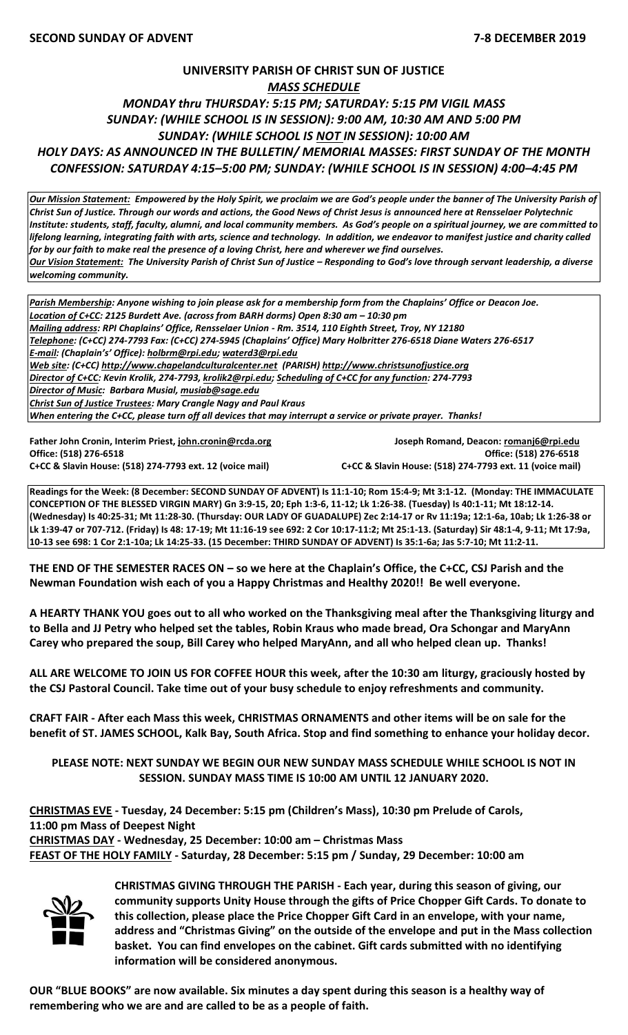## **UNIVERSITY PARISH OF CHRIST SUN OF JUSTICE** *MASS SCHEDULE MONDAY thru THURSDAY: 5:15 PM; SATURDAY: 5:15 PM VIGIL MASS SUNDAY: (WHILE SCHOOL IS IN SESSION): 9:00 AM, 10:30 AM AND 5:00 PM SUNDAY: (WHILE SCHOOL IS NOT IN SESSION): 10:00 AM HOLY DAYS: AS ANNOUNCED IN THE BULLETIN/ MEMORIAL MASSES: FIRST SUNDAY OF THE MONTH CONFESSION: SATURDAY 4:15–5:00 PM; SUNDAY: (WHILE SCHOOL IS IN SESSION) 4:00–4:45 PM*

*Our Mission Statement:**Empowered by the Holy Spirit, we proclaim we are God's people under the banner of The University Parish of Christ Sun of Justice. Through our words and actions, the Good News of Christ Jesus is announced here at Rensselaer Polytechnic Institute: students, staff, faculty, alumni, and local community members. As God's people on a spiritual journey, we are committed to lifelong learning, integrating faith with arts, science and technology. In addition, we endeavor to manifest justice and charity called for by our faith to make real the presence of a loving Christ, here and wherever we find ourselves. Our Vision Statement: The University Parish of Christ Sun of Justice – Responding to God's love through servant leadership, a diverse welcoming community.*

*Parish Membership: Anyone wishing to join please ask for a membership form from the Chaplains' Office or Deacon Joe. Location of C+CC: 2125 Burdett Ave. (across from BARH dorms) Open 8:30 am – 10:30 pm Mailing address: RPI Chaplains' Office, Rensselaer Union - Rm. 3514, 110 Eighth Street, Troy, NY 12180 Telephone: (C+CC) 274-7793 Fax: (C+CC) 274-5945 (Chaplains' Office) Mary Holbritter 276-6518 Diane Waters 276-6517 E-mail: (Chaplain's' Office): [holbrm@rpi.edu;](mailto:holbrm@rpi.edu) waterd3@rpi.edu Web site: (C+CC) [http://www.chapelandculturalcenter.net](http://www.chapelandculturalcenter.net/) (PARISH) http://www.christsunofjustice.org Director of C+CC: Kevin Krolik, 274-7793, krolik2@rpi.edu; Scheduling of C+CC for any function: 274-7793 Director of Music: Barbara Musial, [musiab@sage.edu](mailto:musiab@sage.edu) Christ Sun of Justice Trustees: Mary Crangle Nagy and Paul Kraus When entering the C+CC, please turn off all devices that may interrupt a service or private prayer. Thanks!* 

**Office: (518) 276-6518 Office: (518) 276-6518 C+CC & Slavin House: (518) 274-7793 ext. 12 (voice mail) C+CC & Slavin House: (518) 274-7793 ext. 11 (voice mail)**

**Father John Cronin, Interim Priest[, john.cronin@rcda.org](mailto:john.cronin@rcda.org) Joseph Romand, Deacon: [romanj6@rpi.edu](mailto:romanj6@rpi.edu)**

**Readings for the Week: (8 December: SECOND SUNDAY OF ADVENT) Is 11:1-10; Rom 15:4-9; Mt 3:1-12. (Monday: THE IMMACULATE CONCEPTION OF THE BLESSED VIRGIN MARY) Gn 3:9-15, 20; Eph 1:3-6, 11-12; Lk 1:26-38. (Tuesday) Is 40:1-11; Mt 18:12-14. (Wednesday) Is 40:25-31; Mt 11:28-30. (Thursday: OUR LADY OF GUADALUPE) Zec 2:14-17 or Rv 11:19a; 12:1-6a, 10ab; Lk 1:26-38 or Lk 1:39-47 or 707-712. (Friday) Is 48: 17-19; Mt 11:16-19 see 692: 2 Cor 10:17-11:2; Mt 25:1-13. (Saturday) Sir 48:1-4, 9-11; Mt 17:9a, 10-13 see 698: 1 Cor 2:1-10a; Lk 14:25-33. (15 December: THIRD SUNDAY OF ADVENT) Is 35:1-6a; Jas 5:7-10; Mt 11:2-11.**

**THE END OF THE SEMESTER RACES ON – so we here at the Chaplain's Office, the C+CC, CSJ Parish and the Newman Foundation wish each of you a Happy Christmas and Healthy 2020!! Be well everyone.**

**A HEARTY THANK YOU goes out to all who worked on the Thanksgiving meal after the Thanksgiving liturgy and to Bella and JJ Petry who helped set the tables, Robin Kraus who made bread, Ora Schongar and MaryAnn Carey who prepared the soup, Bill Carey who helped MaryAnn, and all who helped clean up. Thanks!**

**ALL ARE WELCOME TO JOIN US FOR COFFEE HOUR this week, after the 10:30 am liturgy, graciously hosted by the CSJ Pastoral Council. Take time out of your busy schedule to enjoy refreshments and community.** 

**CRAFT FAIR - After each Mass this week, CHRISTMAS ORNAMENTS and other items will be on sale for the benefit of ST. JAMES SCHOOL, Kalk Bay, South Africa. Stop and find something to enhance your holiday decor.**

**PLEASE NOTE: NEXT SUNDAY WE BEGIN OUR NEW SUNDAY MASS SCHEDULE WHILE SCHOOL IS NOT IN SESSION. SUNDAY MASS TIME IS 10:00 AM UNTIL 12 JANUARY 2020.**

**CHRISTMAS EVE - Tuesday, 24 December: 5:15 pm (Children's Mass), 10:30 pm Prelude of Carols, 11:00 pm Mass of Deepest Night CHRISTMAS DAY - Wednesday, 25 December: 10:00 am – Christmas Mass** 

**FEAST OF THE HOLY FAMILY - Saturday, 28 December: 5:15 pm / Sunday, 29 December: 10:00 am**



**CHRISTMAS GIVING THROUGH THE PARISH - Each year, during this season of giving, our community supports Unity House through the gifts of Price Chopper Gift Cards. To donate to this collection, please place the Price Chopper Gift Card in an envelope, with your name, address and "Christmas Giving" on the outside of the envelope and put in the Mass collection basket. You can find envelopes on the cabinet. Gift cards submitted with no identifying information will be considered anonymous.** 

**OUR "BLUE BOOKS" are now available. Six minutes a day spent during this season is a healthy way of remembering who we are and are called to be as a people of faith.**